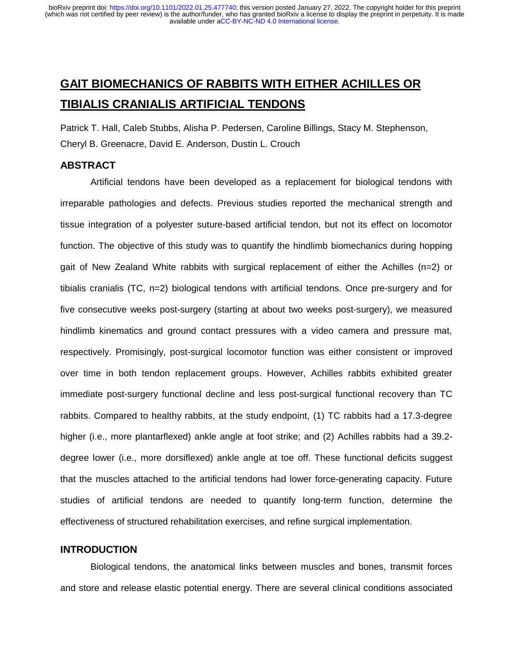# **GAIT BIOMECHANICS OF RABBITS WITH EITHER ACHILLES OR TIBIALIS CRANIALIS ARTIFICIAL TENDONS**

Patrick T. Hall, Caleb Stubbs, Alisha P. Pedersen, Caroline Billings, Stacy M. Stephenson, Cheryl B. Greenacre, David E. Anderson, Dustin L. Crouch

### **ABSTRACT**

Artificial tendons have been developed as a replacement for biological tendons with irreparable pathologies and defects. Previous studies reported the mechanical strength and tissue integration of a polyester suture-based artificial tendon, but not its effect on locomotor function. The objective of this study was to quantify the hindlimb biomechanics during hopping gait of New Zealand White rabbits with surgical replacement of either the Achilles (n=2) or tibialis cranialis (TC, n=2) biological tendons with artificial tendons. Once pre-surgery and for five consecutive weeks post-surgery (starting at about two weeks post-surgery), we measured hindlimb kinematics and ground contact pressures with a video camera and pressure mat, respectively. Promisingly, post-surgical locomotor function was either consistent or improved over time in both tendon replacement groups. However, Achilles rabbits exhibited greater immediate post-surgery functional decline and less post-surgical functional recovery than TC rabbits. Compared to healthy rabbits, at the study endpoint, (1) TC rabbits had a 17.3-degree higher (i.e., more plantarflexed) ankle angle at foot strike; and (2) Achilles rabbits had a 39.2 degree lower (i.e., more dorsiflexed) ankle angle at toe off. These functional deficits suggest that the muscles attached to the artificial tendons had lower force-generating capacity. Future studies of artificial tendons are needed to quantify long-term function, determine the effectiveness of structured rehabilitation exercises, and refine surgical implementation.

## **INTRODUCTION**

Biological tendons, the anatomical links between muscles and bones, transmit forces and store and release elastic potential energy. There are several clinical conditions associated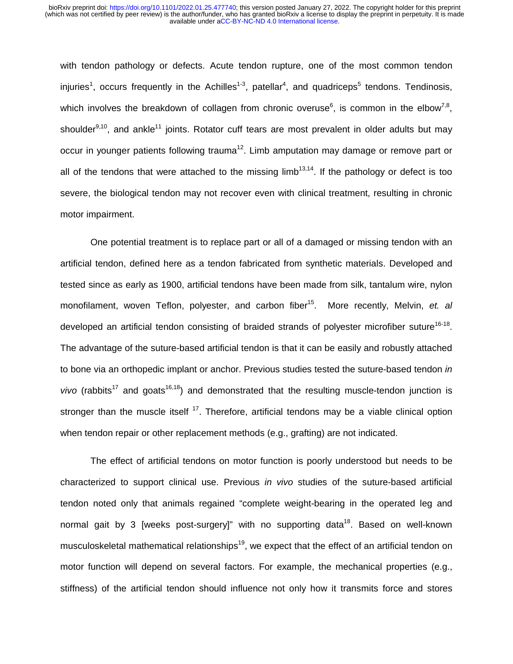with tendon pathology or defects. Acute tendon rupture, one of the most common tendon injuries<sup>1</sup>, occurs frequently in the Achilles<sup>1-3</sup>, patellar<sup>4</sup>, and quadriceps<sup>5</sup> tendons. Tendinosis, which involves the breakdown of collagen from chronic overuse<sup>6</sup>, is common in the elbow<sup>7,8</sup>, shoulder $9,10$ , and ankle<sup>11</sup> joints. Rotator cuff tears are most prevalent in older adults but may occur in younger patients following trauma<sup>12</sup>. Limb amputation may damage or remove part or all of the tendons that were attached to the missing  $limb^{13,14}$ . If the pathology or defect is too severe, the biological tendon may not recover even with clinical treatment, resulting in chronic motor impairment.

One potential treatment is to replace part or all of a damaged or missing tendon with an artificial tendon, defined here as a tendon fabricated from synthetic materials. Developed and tested since as early as 1900, artificial tendons have been made from silk, tantalum wire, nylon monofilament, woven Teflon, polyester, and carbon fiber<sup>15</sup>. More recently, Melvin, et. al developed an artificial tendon consisting of braided strands of polyester microfiber suture<sup>16-18</sup>. The advantage of the suture-based artificial tendon is that it can be easily and robustly attached to bone via an orthopedic implant or anchor. Previous studies tested the suture-based tendon *in vivo* (rabbits<sup>17</sup> and goats<sup>16,18</sup>) and demonstrated that the resulting muscle-tendon junction is stronger than the muscle itself  $17$ . Therefore, artificial tendons may be a viable clinical option when tendon repair or other replacement methods (e.g., grafting) are not indicated.

The effect of artificial tendons on motor function is poorly understood but needs to be characterized to support clinical use. Previous *in vivo* studies of the suture-based artificial tendon noted only that animals regained "complete weight-bearing in the operated leg and normal gait by 3 [weeks post-surgery]" with no supporting data<sup>18</sup>. Based on well-known musculoskeletal mathematical relationships<sup>19</sup>, we expect that the effect of an artificial tendon on motor function will depend on several factors. For example, the mechanical properties (e.g., stiffness) of the artificial tendon should influence not only how it transmits force and stores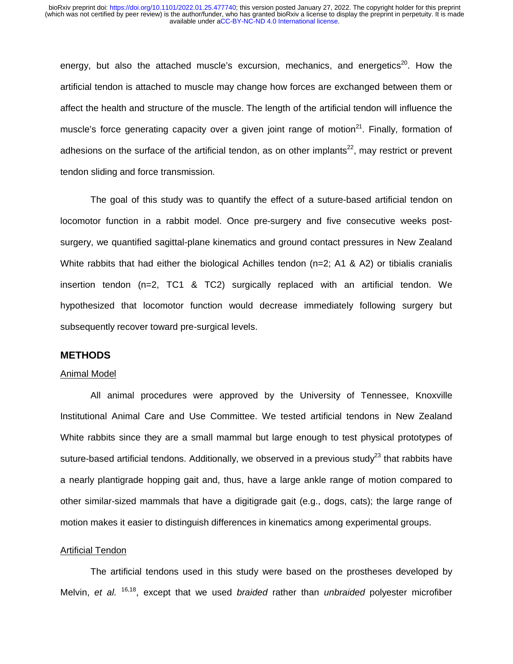energy, but also the attached muscle's excursion, mechanics, and energetics<sup>20</sup>. How the artificial tendon is attached to muscle may change how forces are exchanged between them or affect the health and structure of the muscle. The length of the artificial tendon will influence the muscle's force generating capacity over a given joint range of motion<sup>21</sup>. Finally, formation of adhesions on the surface of the artificial tendon, as on other implants<sup>22</sup>, may restrict or prevent tendon sliding and force transmission.

The goal of this study was to quantify the effect of a suture-based artificial tendon on locomotor function in a rabbit model. Once pre-surgery and five consecutive weeks postsurgery, we quantified sagittal-plane kinematics and ground contact pressures in New Zealand White rabbits that had either the biological Achilles tendon (n=2; A1 & A2) or tibialis cranialis insertion tendon (n=2, TC1 & TC2) surgically replaced with an artificial tendon. We hypothesized that locomotor function would decrease immediately following surgery but subsequently recover toward pre-surgical levels.

#### **METHODS**

#### Animal Model

All animal procedures were approved by the University of Tennessee, Knoxville Institutional Animal Care and Use Committee. We tested artificial tendons in New Zealand White rabbits since they are a small mammal but large enough to test physical prototypes of suture-based artificial tendons. Additionally, we observed in a previous study<sup>23</sup> that rabbits have a nearly plantigrade hopping gait and, thus, have a large ankle range of motion compared to other similar-sized mammals that have a digitigrade gait (e.g., dogs, cats); the large range of motion makes it easier to distinguish differences in kinematics among experimental groups.

#### Artificial Tendon

The artificial tendons used in this study were based on the prostheses developed by Melvin, *et al.* 16,18, except that we used *braided* rather than *unbraided* polyester microfiber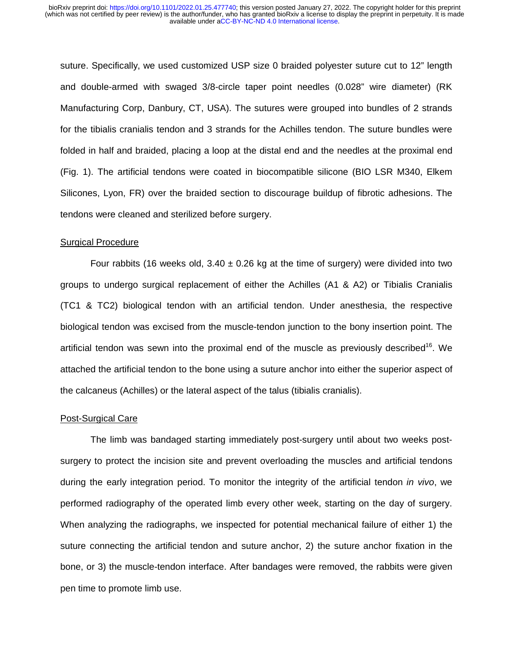suture. Specifically, we used customized USP size 0 braided polyester suture cut to 12" length and double-armed with swaged 3/8-circle taper point needles (0.028" wire diameter) (RK Manufacturing Corp, Danbury, CT, USA). The sutures were grouped into bundles of 2 strands for the tibialis cranialis tendon and 3 strands for the Achilles tendon. The suture bundles were folded in half and braided, placing a loop at the distal end and the needles at the proximal end (Fig. 1). The artificial tendons were coated in biocompatible silicone (BIO LSR M340, Elkem Silicones, Lyon, FR) over the braided section to discourage buildup of fibrotic adhesions. The tendons were cleaned and sterilized before surgery.

#### Surgical Procedure

Four rabbits (16 weeks old,  $3.40 \pm 0.26$  kg at the time of surgery) were divided into two groups to undergo surgical replacement of either the Achilles (A1 & A2) or Tibialis Cranialis (TC1 & TC2) biological tendon with an artificial tendon. Under anesthesia, the respective biological tendon was excised from the muscle-tendon junction to the bony insertion point. The artificial tendon was sewn into the proximal end of the muscle as previously described<sup>16</sup>. We attached the artificial tendon to the bone using a suture anchor into either the superior aspect of the calcaneus (Achilles) or the lateral aspect of the talus (tibialis cranialis).

#### Post-Surgical Care

The limb was bandaged starting immediately post-surgery until about two weeks postsurgery to protect the incision site and prevent overloading the muscles and artificial tendons during the early integration period. To monitor the integrity of the artificial tendon *in vivo*, we performed radiography of the operated limb every other week, starting on the day of surgery. When analyzing the radiographs, we inspected for potential mechanical failure of either 1) the suture connecting the artificial tendon and suture anchor, 2) the suture anchor fixation in the bone, or 3) the muscle-tendon interface. After bandages were removed, the rabbits were given pen time to promote limb use.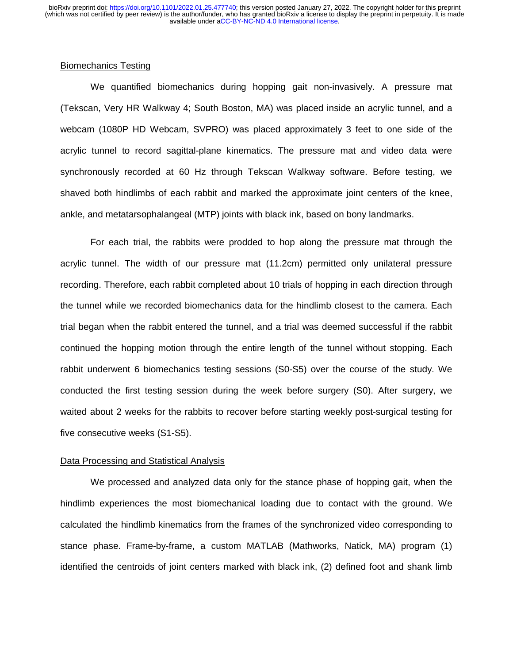#### Biomechanics Testing

We quantified biomechanics during hopping gait non-invasively. A pressure mat (Tekscan, Very HR Walkway 4; South Boston, MA) was placed inside an acrylic tunnel, and a webcam (1080P HD Webcam, SVPRO) was placed approximately 3 feet to one side of the acrylic tunnel to record sagittal-plane kinematics. The pressure mat and video data were synchronously recorded at 60 Hz through Tekscan Walkway software. Before testing, we shaved both hindlimbs of each rabbit and marked the approximate joint centers of the knee, ankle, and metatarsophalangeal (MTP) joints with black ink, based on bony landmarks.

For each trial, the rabbits were prodded to hop along the pressure mat through the acrylic tunnel. The width of our pressure mat (11.2cm) permitted only unilateral pressure recording. Therefore, each rabbit completed about 10 trials of hopping in each direction through the tunnel while we recorded biomechanics data for the hindlimb closest to the camera. Each trial began when the rabbit entered the tunnel, and a trial was deemed successful if the rabbit continued the hopping motion through the entire length of the tunnel without stopping. Each rabbit underwent 6 biomechanics testing sessions (S0-S5) over the course of the study. We conducted the first testing session during the week before surgery (S0). After surgery, we waited about 2 weeks for the rabbits to recover before starting weekly post-surgical testing for five consecutive weeks (S1-S5).

#### Data Processing and Statistical Analysis

We processed and analyzed data only for the stance phase of hopping gait, when the hindlimb experiences the most biomechanical loading due to contact with the ground. We calculated the hindlimb kinematics from the frames of the synchronized video corresponding to stance phase. Frame-by-frame, a custom MATLAB (Mathworks, Natick, MA) program (1) identified the centroids of joint centers marked with black ink, (2) defined foot and shank limb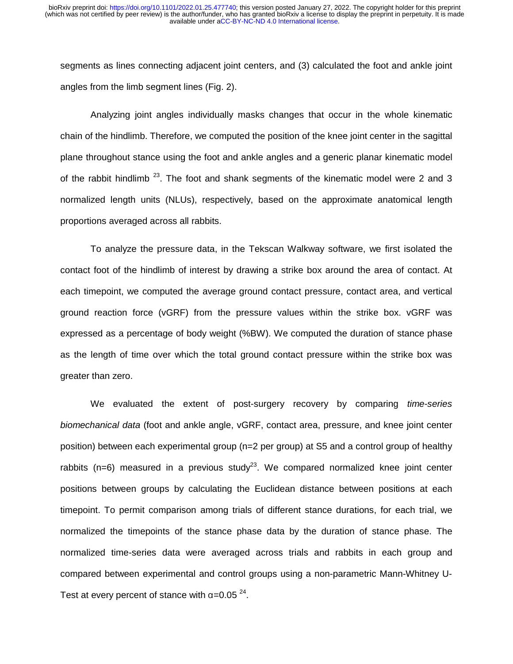segments as lines connecting adjacent joint centers, and (3) calculated the foot and ankle joint angles from the limb segment lines (Fig. 2).

Analyzing joint angles individually masks changes that occur in the whole kinematic chain of the hindlimb. Therefore, we computed the position of the knee joint center in the sagittal plane throughout stance using the foot and ankle angles and a generic planar kinematic model of the rabbit hindlimb<sup>23</sup>. The foot and shank segments of the kinematic model were 2 and 3 normalized length units (NLUs), respectively, based on the approximate anatomical length proportions averaged across all rabbits.

To analyze the pressure data, in the Tekscan Walkway software, we first isolated the contact foot of the hindlimb of interest by drawing a strike box around the area of contact. At each timepoint, we computed the average ground contact pressure, contact area, and vertical ground reaction force (vGRF) from the pressure values within the strike box. vGRF was expressed as a percentage of body weight (%BW). We computed the duration of stance phase as the length of time over which the total ground contact pressure within the strike box was greater than zero.

We evaluated the extent of post-surgery recovery by comparing *time-series biomechanical data* (foot and ankle angle, vGRF, contact area, pressure, and knee joint center position) between each experimental group (n=2 per group) at S5 and a control group of healthy rabbits ( $n=6$ ) measured in a previous study<sup>23</sup>. We compared normalized knee joint center positions between groups by calculating the Euclidean distance between positions at each timepoint. To permit comparison among trials of different stance durations, for each trial, we normalized the timepoints of the stance phase data by the duration of stance phase. The normalized time-series data were averaged across trials and rabbits in each group and compared between experimental and control groups using a non-parametric Mann-Whitney U-Test at every percent of stance with  $\alpha$ =0.05<sup>24</sup>.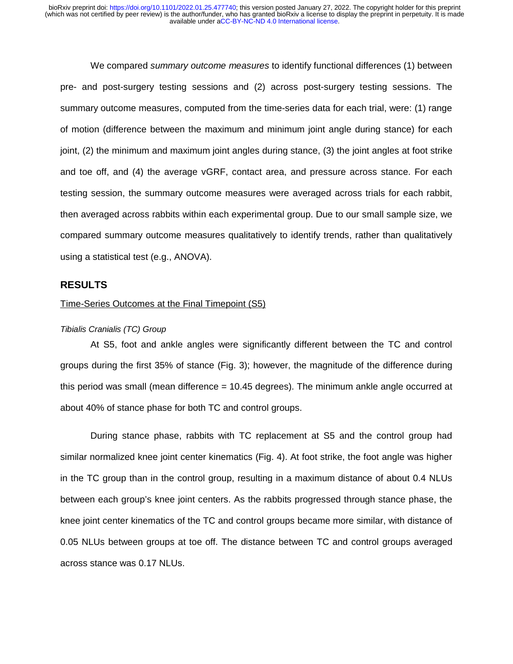We compared *summary outcome measures* to identify functional differences (1) between pre- and post-surgery testing sessions and (2) across post-surgery testing sessions. The summary outcome measures, computed from the time-series data for each trial, were: (1) range of motion (difference between the maximum and minimum joint angle during stance) for each joint, (2) the minimum and maximum joint angles during stance, (3) the joint angles at foot strike and toe off, and (4) the average vGRF, contact area, and pressure across stance. For each testing session, the summary outcome measures were averaged across trials for each rabbit, then averaged across rabbits within each experimental group. Due to our small sample size, we compared summary outcome measures qualitatively to identify trends, rather than qualitatively using a statistical test (e.g., ANOVA).

#### **RESULTS**

#### Time-Series Outcomes at the Final Timepoint (S5)

#### *Tibialis Cranialis (TC) Group*

At S5, foot and ankle angles were significantly different between the TC and control groups during the first 35% of stance (Fig. 3); however, the magnitude of the difference during this period was small (mean difference = 10.45 degrees). The minimum ankle angle occurred at about 40% of stance phase for both TC and control groups.

During stance phase, rabbits with TC replacement at S5 and the control group had similar normalized knee joint center kinematics (Fig. 4). At foot strike, the foot angle was higher in the TC group than in the control group, resulting in a maximum distance of about 0.4 NLUs between each group's knee joint centers. As the rabbits progressed through stance phase, the knee joint center kinematics of the TC and control groups became more similar, with distance of 0.05 NLUs between groups at toe off. The distance between TC and control groups averaged across stance was 0.17 NLUs.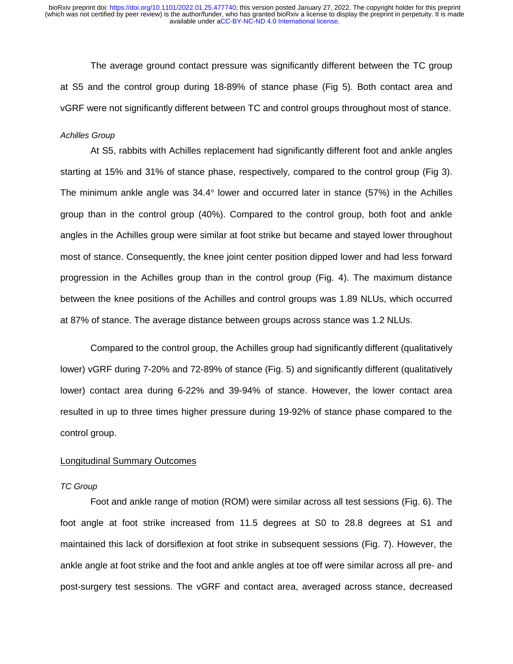The average ground contact pressure was significantly different between the TC group at S5 and the control group during 18-89% of stance phase (Fig 5). Both contact area and vGRF were not significantly different between TC and control groups throughout most of stance.

#### *Achilles Group*

At S5, rabbits with Achilles replacement had significantly different foot and ankle angles starting at 15% and 31% of stance phase, respectively, compared to the control group (Fig 3). The minimum ankle angle was 34.4° lower and occurred later in stance (57%) in the Achilles group than in the control group (40%). Compared to the control group, both foot and ankle angles in the Achilles group were similar at foot strike but became and stayed lower throughout most of stance. Consequently, the knee joint center position dipped lower and had less forward progression in the Achilles group than in the control group (Fig. 4). The maximum distance between the knee positions of the Achilles and control groups was 1.89 NLUs, which occurred at 87% of stance. The average distance between groups across stance was 1.2 NLUs.

Compared to the control group, the Achilles group had significantly different (qualitatively lower) vGRF during 7-20% and 72-89% of stance (Fig. 5) and significantly different (qualitatively lower) contact area during 6-22% and 39-94% of stance. However, the lower contact area resulted in up to three times higher pressure during 19-92% of stance phase compared to the control group.

#### Longitudinal Summary Outcomes

#### *TC Group*

Foot and ankle range of motion (ROM) were similar across all test sessions (Fig. 6). The foot angle at foot strike increased from 11.5 degrees at S0 to 28.8 degrees at S1 and maintained this lack of dorsiflexion at foot strike in subsequent sessions (Fig. 7). However, the ankle angle at foot strike and the foot and ankle angles at toe off were similar across all pre- and post-surgery test sessions. The vGRF and contact area, averaged across stance, decreased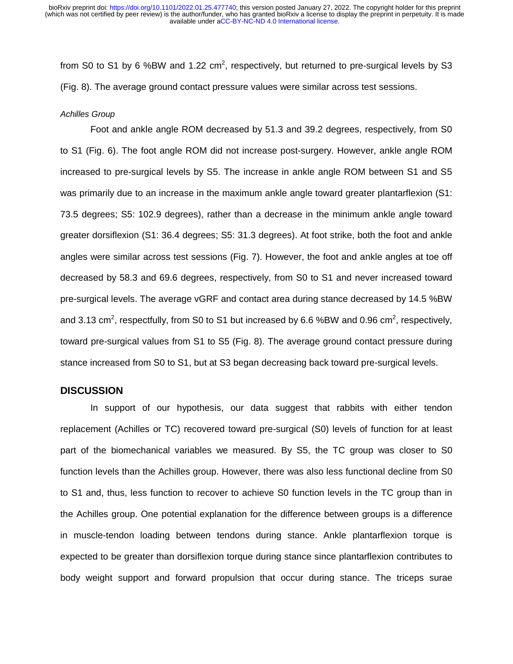from S0 to S1 by 6 %BW and 1.22 cm<sup>2</sup>, respectively, but returned to pre-surgical levels by S3 (Fig. 8). The average ground contact pressure values were similar across test sessions.

#### *Achilles Group*

Foot and ankle angle ROM decreased by 51.3 and 39.2 degrees, respectively, from S0 to S1 (Fig. 6). The foot angle ROM did not increase post-surgery. However, ankle angle ROM increased to pre-surgical levels by S5. The increase in ankle angle ROM between S1 and S5 was primarily due to an increase in the maximum ankle angle toward greater plantarflexion (S1: 73.5 degrees; S5: 102.9 degrees), rather than a decrease in the minimum ankle angle toward greater dorsiflexion (S1: 36.4 degrees; S5: 31.3 degrees). At foot strike, both the foot and ankle angles were similar across test sessions (Fig. 7). However, the foot and ankle angles at toe off decreased by 58.3 and 69.6 degrees, respectively, from S0 to S1 and never increased toward pre-surgical levels. The average vGRF and contact area during stance decreased by 14.5 %BW and 3.13 cm<sup>2</sup>, respectfully, from S0 to S1 but increased by 6.6 %BW and 0.96 cm<sup>2</sup>, respectively, toward pre-surgical values from S1 to S5 (Fig. 8). The average ground contact pressure during stance increased from S0 to S1, but at S3 began decreasing back toward pre-surgical levels.

#### **DISCUSSION**

In support of our hypothesis, our data suggest that rabbits with either tendon replacement (Achilles or TC) recovered toward pre-surgical (S0) levels of function for at least part of the biomechanical variables we measured. By S5, the TC group was closer to S0 function levels than the Achilles group. However, there was also less functional decline from S0 to S1 and, thus, less function to recover to achieve S0 function levels in the TC group than in the Achilles group. One potential explanation for the difference between groups is a difference in muscle-tendon loading between tendons during stance. Ankle plantarflexion torque is expected to be greater than dorsiflexion torque during stance since plantarflexion contributes to body weight support and forward propulsion that occur during stance. The triceps surae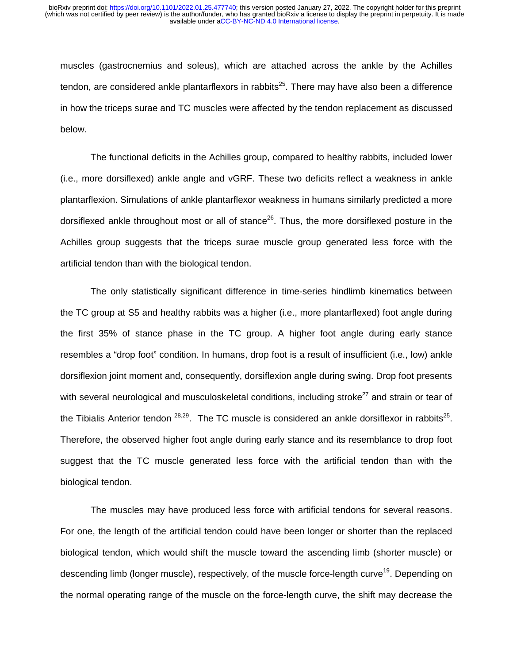muscles (gastrocnemius and soleus), which are attached across the ankle by the Achilles tendon, are considered ankle plantarflexors in rabbits<sup>25</sup>. There may have also been a difference in how the triceps surae and TC muscles were affected by the tendon replacement as discussed below.

The functional deficits in the Achilles group, compared to healthy rabbits, included lower (i.e., more dorsiflexed) ankle angle and vGRF. These two deficits reflect a weakness in ankle plantarflexion. Simulations of ankle plantarflexor weakness in humans similarly predicted a more dorsiflexed ankle throughout most or all of stance<sup>26</sup>. Thus, the more dorsiflexed posture in the Achilles group suggests that the triceps surae muscle group generated less force with the artificial tendon than with the biological tendon.

The only statistically significant difference in time-series hindlimb kinematics between the TC group at S5 and healthy rabbits was a higher (i.e., more plantarflexed) foot angle during the first 35% of stance phase in the TC group. A higher foot angle during early stance resembles a "drop foot" condition. In humans, drop foot is a result of insufficient (i.e., low) ankle dorsiflexion joint moment and, consequently, dorsiflexion angle during swing. Drop foot presents with several neurological and musculoskeletal conditions, including stroke $^{27}$  and strain or tear of the Tibialis Anterior tendon  $^{28,29}$ . The TC muscle is considered an ankle dorsiflexor in rabbits<sup>25</sup>. Therefore, the observed higher foot angle during early stance and its resemblance to drop foot suggest that the TC muscle generated less force with the artificial tendon than with the biological tendon.

The muscles may have produced less force with artificial tendons for several reasons. For one, the length of the artificial tendon could have been longer or shorter than the replaced biological tendon, which would shift the muscle toward the ascending limb (shorter muscle) or descending limb (longer muscle), respectively, of the muscle force-length curve<sup>19</sup>. Depending on the normal operating range of the muscle on the force-length curve, the shift may decrease the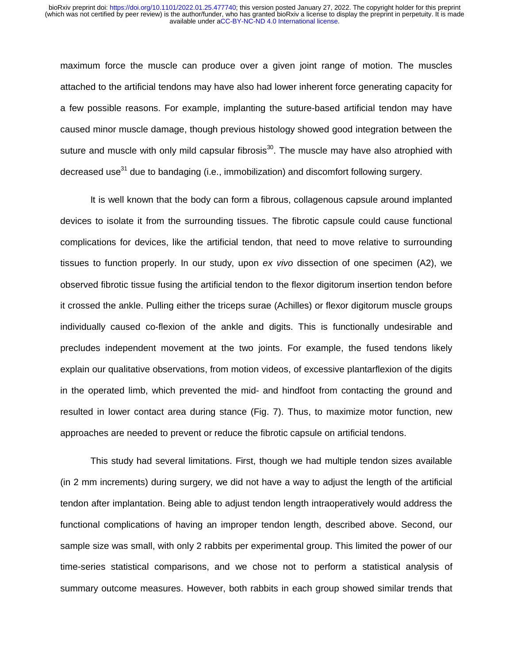maximum force the muscle can produce over a given joint range of motion. The muscles attached to the artificial tendons may have also had lower inherent force generating capacity for a few possible reasons. For example, implanting the suture-based artificial tendon may have caused minor muscle damage, though previous histology showed good integration between the suture and muscle with only mild capsular fibrosis $30$ . The muscle may have also atrophied with decreased use<sup>31</sup> due to bandaging (i.e., immobilization) and discomfort following surgery.

It is well known that the body can form a fibrous, collagenous capsule around implanted devices to isolate it from the surrounding tissues. The fibrotic capsule could cause functional complications for devices, like the artificial tendon, that need to move relative to surrounding tissues to function properly. In our study, upon *ex vivo* dissection of one specimen (A2), we observed fibrotic tissue fusing the artificial tendon to the flexor digitorum insertion tendon before it crossed the ankle. Pulling either the triceps surae (Achilles) or flexor digitorum muscle groups individually caused co-flexion of the ankle and digits. This is functionally undesirable and precludes independent movement at the two joints. For example, the fused tendons likely explain our qualitative observations, from motion videos, of excessive plantarflexion of the digits in the operated limb, which prevented the mid- and hindfoot from contacting the ground and resulted in lower contact area during stance (Fig. 7). Thus, to maximize motor function, new approaches are needed to prevent or reduce the fibrotic capsule on artificial tendons.

This study had several limitations. First, though we had multiple tendon sizes available (in 2 mm increments) during surgery, we did not have a way to adjust the length of the artificial tendon after implantation. Being able to adjust tendon length intraoperatively would address the functional complications of having an improper tendon length, described above. Second, our sample size was small, with only 2 rabbits per experimental group. This limited the power of our time-series statistical comparisons, and we chose not to perform a statistical analysis of summary outcome measures. However, both rabbits in each group showed similar trends that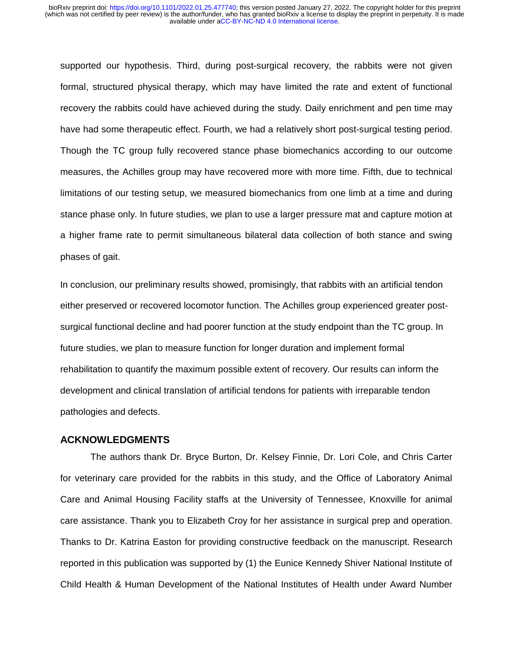supported our hypothesis. Third, during post-surgical recovery, the rabbits were not given formal, structured physical therapy, which may have limited the rate and extent of functional recovery the rabbits could have achieved during the study. Daily enrichment and pen time may have had some therapeutic effect. Fourth, we had a relatively short post-surgical testing period. Though the TC group fully recovered stance phase biomechanics according to our outcome measures, the Achilles group may have recovered more with more time. Fifth, due to technical limitations of our testing setup, we measured biomechanics from one limb at a time and during stance phase only. In future studies, we plan to use a larger pressure mat and capture motion at a higher frame rate to permit simultaneous bilateral data collection of both stance and swing phases of gait.

In conclusion, our preliminary results showed, promisingly, that rabbits with an artificial tendon either preserved or recovered locomotor function. The Achilles group experienced greater postsurgical functional decline and had poorer function at the study endpoint than the TC group. In future studies, we plan to measure function for longer duration and implement formal rehabilitation to quantify the maximum possible extent of recovery. Our results can inform the development and clinical translation of artificial tendons for patients with irreparable tendon pathologies and defects.

#### **ACKNOWLEDGMENTS**

The authors thank Dr. Bryce Burton, Dr. Kelsey Finnie, Dr. Lori Cole, and Chris Carter for veterinary care provided for the rabbits in this study, and the Office of Laboratory Animal Care and Animal Housing Facility staffs at the University of Tennessee, Knoxville for animal care assistance. Thank you to Elizabeth Croy for her assistance in surgical prep and operation. Thanks to Dr. Katrina Easton for providing constructive feedback on the manuscript. Research reported in this publication was supported by (1) the Eunice Kennedy Shiver National Institute of Child Health & Human Development of the National Institutes of Health under Award Number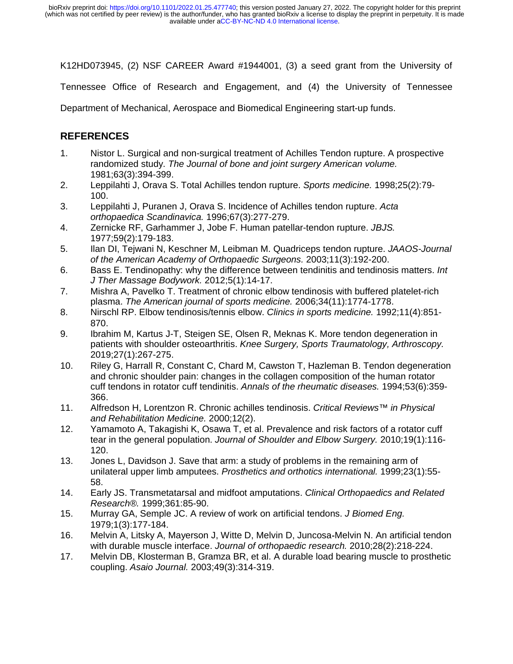K12HD073945, (2) NSF CAREER Award #1944001, (3) a seed grant from the University of

Tennessee Office of Research and Engagement, and (4) the University of Tennessee

Department of Mechanical, Aerospace and Biomedical Engineering start-up funds.

## **REFERENCES**

- 1. Nistor L. Surgical and non-surgical treatment of Achilles Tendon rupture. A prospective randomized study. *The Journal of bone and joint surgery American volume.*  1981;63(3):394-399.
- 2. Leppilahti J, Orava S. Total Achilles tendon rupture. *Sports medicine.* 1998;25(2):79- 100.
- 3. Leppilahti J, Puranen J, Orava S. Incidence of Achilles tendon rupture. *Acta orthopaedica Scandinavica.* 1996;67(3):277-279.
- 4. Zernicke RF, Garhammer J, Jobe F. Human patellar-tendon rupture. *JBJS.*  1977;59(2):179-183.
- 5. Ilan DI, Tejwani N, Keschner M, Leibman M. Quadriceps tendon rupture. *JAAOS-Journal of the American Academy of Orthopaedic Surgeons.* 2003;11(3):192-200.
- 6. Bass E. Tendinopathy: why the difference between tendinitis and tendinosis matters. *Int J Ther Massage Bodywork.* 2012;5(1):14-17.
- 7. Mishra A, Pavelko T. Treatment of chronic elbow tendinosis with buffered platelet-rich plasma. *The American journal of sports medicine.* 2006;34(11):1774-1778.
- 8. Nirschl RP. Elbow tendinosis/tennis elbow. *Clinics in sports medicine.* 1992;11(4):851- 870.
- 9. Ibrahim M, Kartus J-T, Steigen SE, Olsen R, Meknas K. More tendon degeneration in patients with shoulder osteoarthritis. *Knee Surgery, Sports Traumatology, Arthroscopy.*  2019;27(1):267-275.
- 10. Riley G, Harrall R, Constant C, Chard M, Cawston T, Hazleman B. Tendon degeneration and chronic shoulder pain: changes in the collagen composition of the human rotator cuff tendons in rotator cuff tendinitis. *Annals of the rheumatic diseases.* 1994;53(6):359- 366.
- 11. Alfredson H, Lorentzon R. Chronic achilles tendinosis. *Critical Reviews™ in Physical and Rehabilitation Medicine.* 2000;12(2).
- 12. Yamamoto A, Takagishi K, Osawa T, et al. Prevalence and risk factors of a rotator cuff tear in the general population. *Journal of Shoulder and Elbow Surgery.* 2010;19(1):116- 120.
- 13. Jones L, Davidson J. Save that arm: a study of problems in the remaining arm of unilateral upper limb amputees. *Prosthetics and orthotics international.* 1999;23(1):55- 58.
- 14. Early JS. Transmetatarsal and midfoot amputations. *Clinical Orthopaedics and Related Research®.* 1999;361:85-90.
- 15. Murray GA, Semple JC. A review of work on artificial tendons. *J Biomed Eng.*  1979;1(3):177-184.
- 16. Melvin A, Litsky A, Mayerson J, Witte D, Melvin D, Juncosawith durable muscle interface. *Journal of orthopaedic research.* 2010;28(2):218-224.
- -Melvin N. An artificial tendon<br>*rch.* 2010;28(2):218-224.<br>I bearing muscle to prosthetic 17. Melvin DB, Klosterman B, Gramza BR, et al. A durable load bearing muscle to prosthetic coupling. *Asaio Journal.* 2003;49(3):314-319.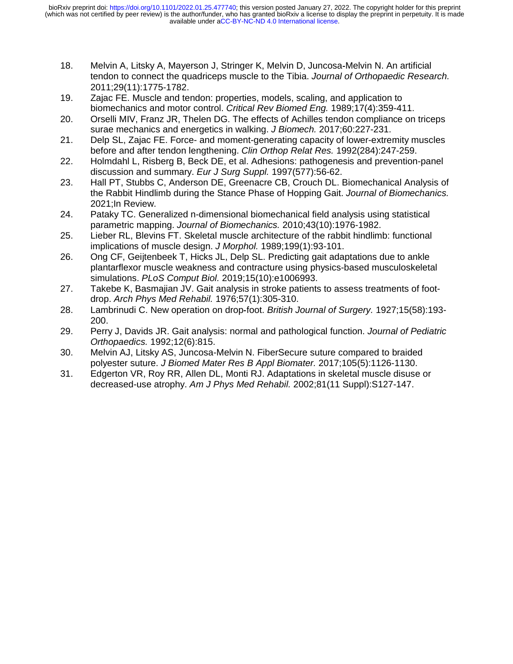- 18. Melvin A, Litsky A, Mayerson J, Stringer K, Melvin D, Juncosa-Melvin N. An artificial -Melvin N. An artificial<br>of O*rthopaedic Resea*<br>d application to tendon to connect the quadriceps muscle to the Tibia. *Journal of Orthopaedic Research.*  2011;29(11):1775-1782.
- 19. Zajac FE. Muscle and tendon: properties, models, scaling, and application to biomechanics and motor control. *Critical Rev Biomed Eng.* 1989;17(4):359-411.
- 20. Orselli MIV, Franz JR, Thelen DG. The effects of Achilles tendon compliance on triceps surae mechanics and energetics in walking. *J Biomech.* 2017;60:227-231.
- 21. Delp SL, Zajac FE. Force- and moment-generating capacity of lower-extremity muscles before and after tendon lengthening. *Clin Orthop Relat Res.* 1992(284):247-259.
- 22. Holmdahl L, Risberg B, Beck DE, et al. Adhesions: pathogenesis and prevention-panel discussion and summary. *Eur J Surg Suppl.* 1997(577):56-62.
- 23. Hall PT, Stubbs C, Anderson DE, Greenacre CB, Crouch DL. Biomechanical Analysis of the Rabbit Hindlimb during the Stance Phase of Hopping Gait. *Journal of Biomechanics.*  2021;In Review.
- 24. Pataky TC. Generalized n-dimensional biomechanical field analysis using statistical parametric mapping. *Journal of Biomechanics.* 2010;43(10):1976-1982.
- 25. Lieber RL, Blevins FT. Skeletal muscle architecture of the rabbit hindlimb: functional implications of muscle design. *J Morphol.* 1989;199(1):93-101.
- 26. Ong CF, Geijtenbeek T, Hicks JL, Delp SL. Predicting gait adaptations due to ankle plantarflexor muscle weakness and contracture using physics-based musculoskeletal simulations. *PLoS Comput Biol.* 2019;15(10):e1006993.
- 27. Takebe K, Basmajian JV. Gait analysis in stroke patients to assess treatments of footdrop. *Arch Phys Med Rehabil.* 1976;57(1):305-310.
- 28. Lambrinudi C. New operation on drop-foot. British Journal of Surgery, 1927;15(58):193-200.
- ‐foot. *British Journal of Surgery.* 1927;15(58):193- 29. Perry J, Davids JR. Gait analysis: normal and pathological function. *Journal of Pediatric Orthopaedics.* 1992;12(6):815.
- 30. Melvin AJ, Litsky AS, Juncosa-Melvin N. FiberSecure suture compared to braided polyester suture. *J Biomed Mater Res B Appl Biomater.* 2017;105(5):1126-1130.
- 31. Edgerton VR, Roy RR, Allen DL, Monti RJ. Adaptations in skeletal muscle disuse or decreased-use atrophy. *Am J Phys Med Rehabil.* 2002;81(11 Suppl):S127-147.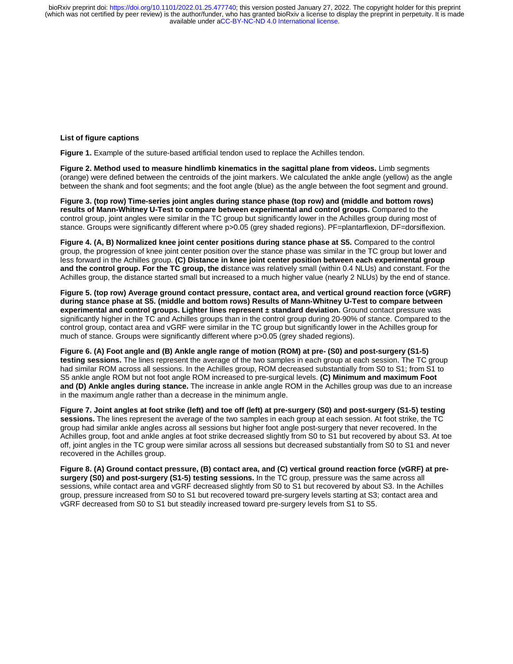available under [aCC-BY-NC-ND 4.0 International license.](http://creativecommons.org/licenses/by-nc-nd/4.0/) (which was not certified by peer review) is the author/funder, who has granted bioRxiv a license to display the preprint in perpetuity. It is made bioRxiv preprint doi: [https://doi.org/10.1101/2022.01.25.477740;](https://doi.org/10.1101/2022.01.25.477740) this version posted January 27, 2022. The copyright holder for this preprint

#### **List of figure captions**

**Figure 1.** Example of the suture-based artificial tendon used to replace the Achilles tendon.

**Figure 2. Method used to measure hindlimb kinematics in the sagittal plane from videos.** Limb segments (orange) were defined between the centroids of the joint markers. We calculated the ankle angle (yellow) as the angle between the shank and foot segments; and the foot angle (blue) as the angle between the foot segment and ground.

**Figure 3. (top row) Time-series joint angles during stance phase (top row) and (middle and bottom rows) results of Mann-Whitney U-Test to compare between experimental and control groups.** Compared to the control group, joint angles were similar in the TC group but significantly lower in the Achilles group during most of stance. Groups were significantly different where  $p > 0.05$  (grey shaded regions). PF=plantarflexion, DF=dorsiflexion.

**Figure 4. (A, B) Normalized knee joint center positions during stance phase at S5.** Compared to the control group, the progression of knee joint center position over the stance phase was similar in the TC group but lower and less forward in the Achilles group. **(C) Distance in knee joint center position between each experimental group and the control group. For the TC group, the d**istance was relatively small (within 0.4 NLUs) and constant. For the Achilles group, the distance started small but increased to a much higher value (nearly 2 NLUs) by the end of stance.

**Figure 5. (top row) Average ground contact pressure, contact area, and vertical ground reaction force (vGRF) during stance phase at S5. (middle and bottom rows) Results of Mann-Whitney U-Test to compare between experimental and control groups. Lighter lines represent ± standard deviation.** Ground contact pressure was significantly higher in the TC and Achilles groups than in the control group during 20-90% of stance. Compared to the control group, contact area and vGRF were similar in the TC group but significantly lower in the Achilles group for much of stance. Groups were significantly different where p>0.05 (grey shaded regions).

**Figure 6. (A) Foot angle and (B) Ankle angle range of motion (ROM) at pre- (S0) and post-surgery (S1-5) testing sessions.** The lines represent the average of the two samples in each group at each session. The TC group had similar ROM across all sessions. In the Achilles group, ROM decreased substantially from S0 to S1; from S1 to S5 ankle angle ROM but not foot angle ROM increased to pre-surgical levels. **(C) Minimum and maximum Foot and (D) Ankle angles during stance.** The increase in ankle angle ROM in the Achilles group was due to an increase in the maximum angle rather than a decrease in the minimum angle.

**Figure 7. Joint angles at foot strike (left) and toe off (left) at pre-surgery (S0) and post-surgery (S1-5) testing sessions.** The lines represent the average of the two samples in each group at each session. At foot strike, the TC group had similar ankle angles across all sessions but higher foot angle post-surgery that never recovered. In the Achilles group, foot and ankle angles at foot strike decreased slightly from S0 to S1 but recovered by about S3. At toe off, joint angles in the TC group were similar across all sessions but decreased substantially from S0 to S1 and never recovered in the Achilles group.

**Figure 8. (A) Ground contact pressure, (B) contact area, and (C) vertical ground reaction force (vGRF) at presurgery (S0) and post-surgery (S1-5) testing sessions.** In the TC group, pressure was the same across all sessions, while contact area and vGRF decreased slightly from S0 to S1 but recovered by about S3. In the Achilles group, pressure increased from S0 to S1 but recovered toward pre-surgery levels starting at S3; contact area and vGRF decreased from S0 to S1 but steadily increased toward pre-surgery levels from S1 to S5.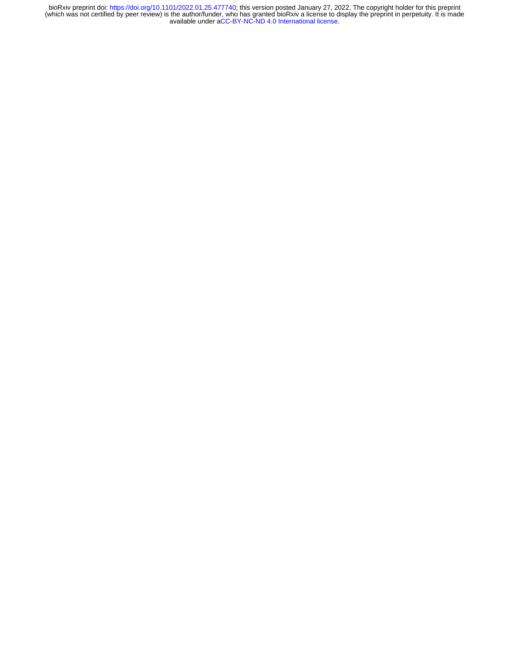available under [aCC-BY-NC-ND 4.0 International license.](http://creativecommons.org/licenses/by-nc-nd/4.0/) (which was not certified by peer review) is the author/funder, who has granted bioRxiv a license to display the preprint in perpetuity. It is made bioRxiv preprint doi: [https://doi.org/10.1101/2022.01.25.477740;](https://doi.org/10.1101/2022.01.25.477740) this version posted January 27, 2022. The copyright holder for this preprint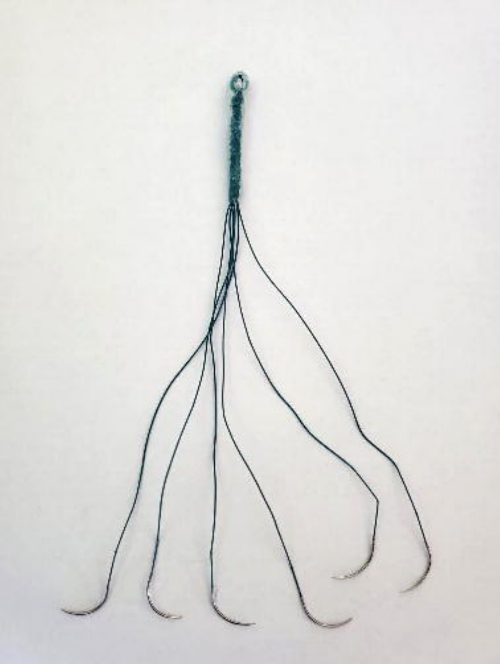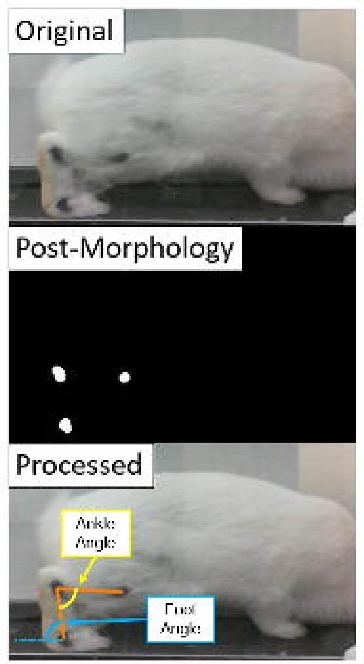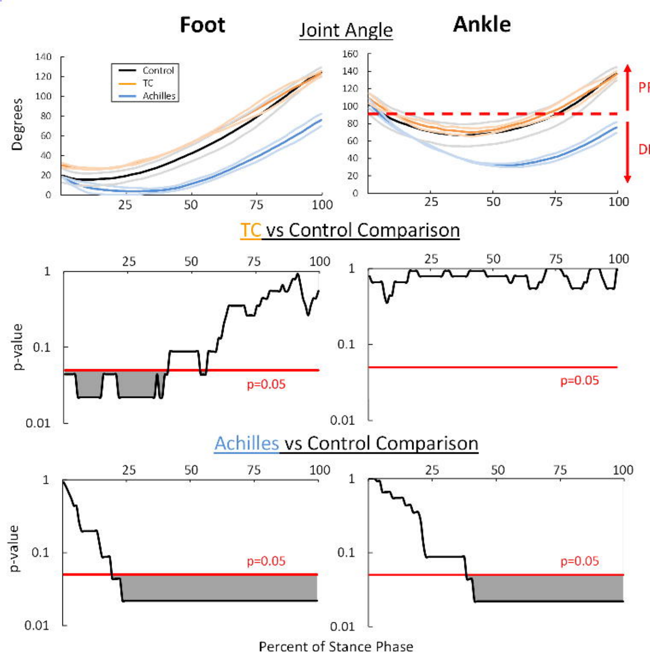

Percent of Stance Phase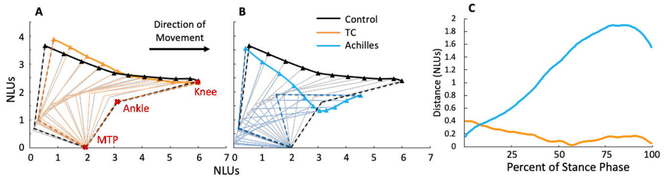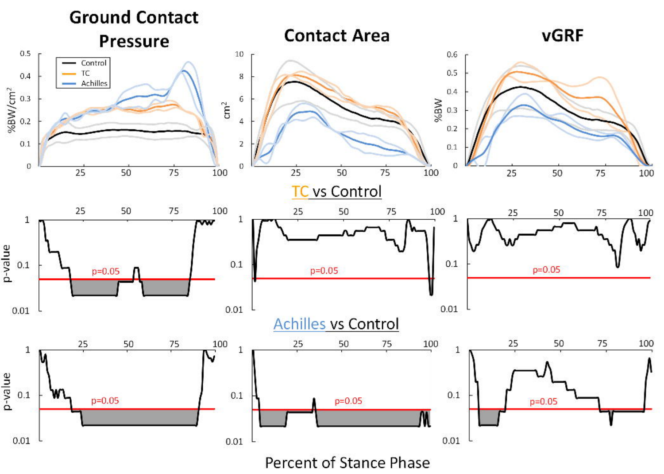

Percent of Stance Phase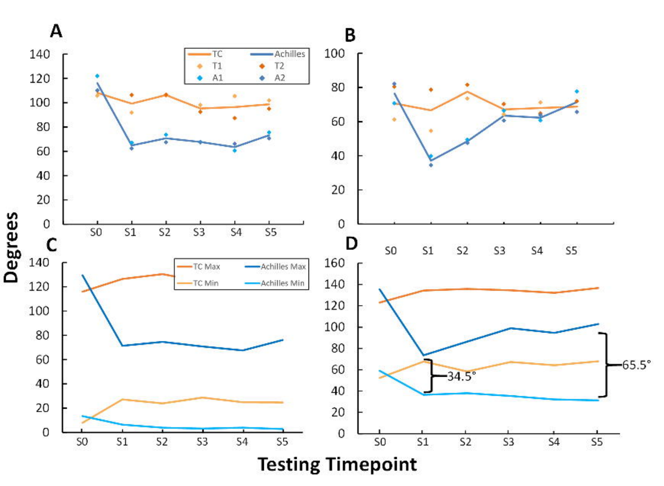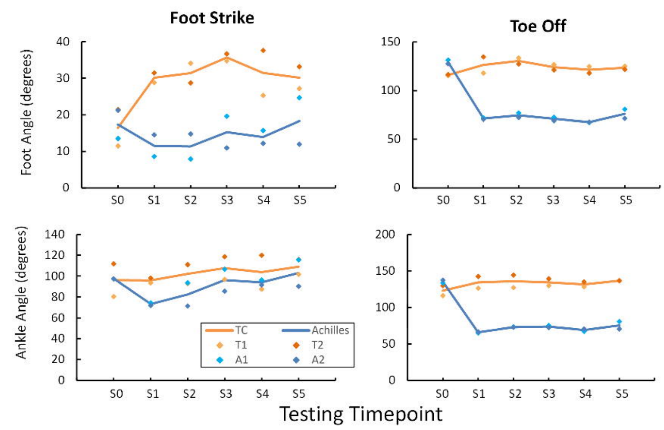